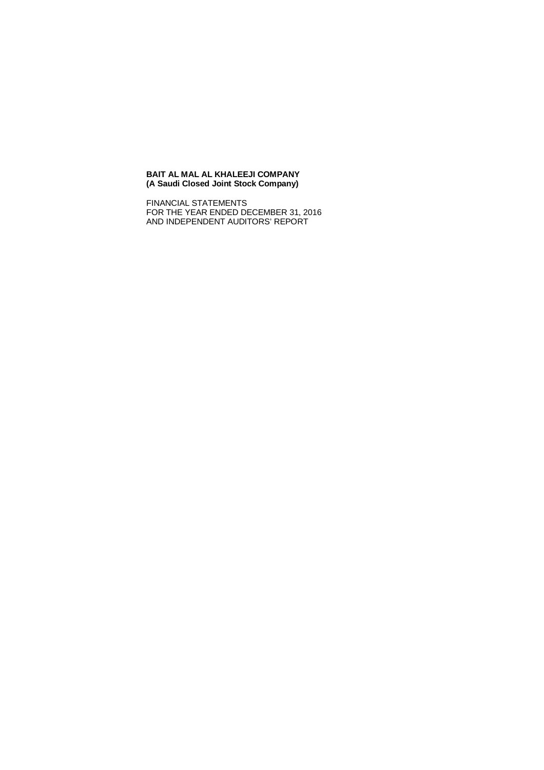#### **BAIT AL MAL AL KHALEEJI COMPANY (A Saudi Closed Joint Stock Company)**

FINANCIAL STATEMENTS FOR THE YEAR ENDED DECEMBER 31, 2016 AND INDEPENDENT AUDITORS' REPORT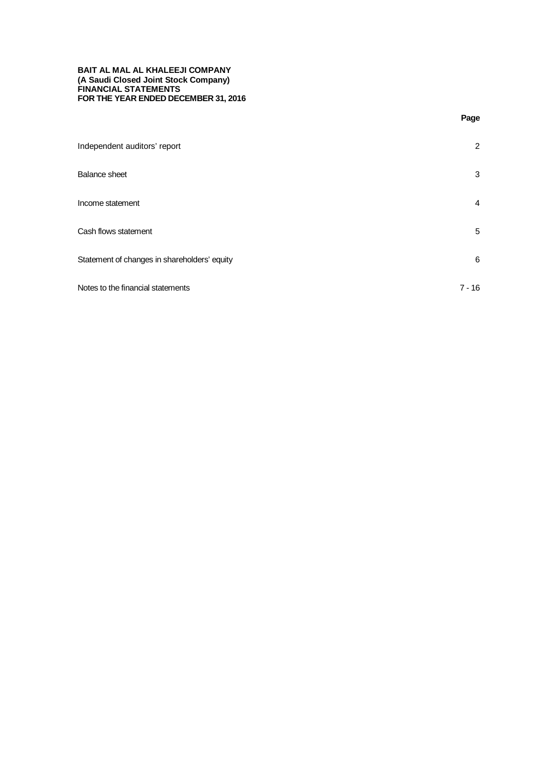### **BAIT AL MAL AL KHALEEJI COMPANY (A Saudi Closed Joint Stock Company) FINANCIAL STATEMENTS FOR THE YEAR ENDED DECEMBER 31, 2016**

| Independent auditors' report                 | 2        |  |
|----------------------------------------------|----------|--|
| <b>Balance sheet</b>                         | 3        |  |
| Income statement                             | 4        |  |
| Cash flows statement                         | 5        |  |
| Statement of changes in shareholders' equity | 6        |  |
| Notes to the financial statements            | $7 - 16$ |  |

**Page**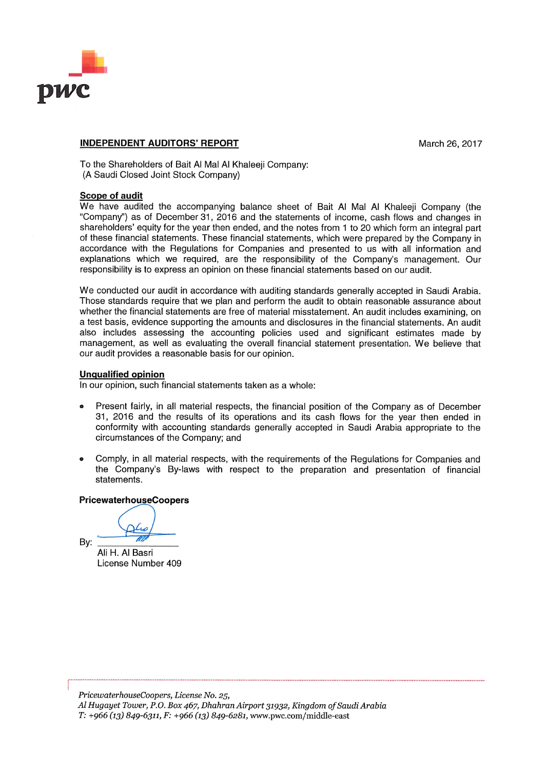

# **INDEPENDENT AUDITORS' REPORT**

March 26, 2017

To the Shareholders of Bait Al Mal Al Khaleeii Company: (A Saudi Closed Joint Stock Company)

# **Scope of audit**

We have audited the accompanying balance sheet of Bait Al Mal Al Khaleeji Company (the "Company") as of December 31, 2016 and the statements of income, cash flows and changes in shareholders' equity for the year then ended, and the notes from 1 to 20 which form an integral part of these financial statements. These financial statements, which were prepared by the Company in accordance with the Regulations for Companies and presented to us with all information and explanations which we required, are the responsibility of the Company's management. Our responsibility is to express an opinion on these financial statements based on our audit.

We conducted our audit in accordance with auditing standards generally accepted in Saudi Arabia. Those standards require that we plan and perform the audit to obtain reasonable assurance about whether the financial statements are free of material misstatement. An audit includes examining, on a test basis, evidence supporting the amounts and disclosures in the financial statements. An audit also includes assessing the accounting policies used and significant estimates made by management, as well as evaluating the overall financial statement presentation. We believe that our audit provides a reasonable basis for our opinion.

# **Unqualified opinion**

In our opinion, such financial statements taken as a whole:

- Present fairly, in all material respects, the financial position of the Company as of December 31, 2016 and the results of its operations and its cash flows for the year then ended in conformity with accounting standards generally accepted in Saudi Arabia appropriate to the circumstances of the Company; and
- Comply, in all material respects, with the requirements of the Requlations for Companies and  $\bullet$ the Company's By-laws with respect to the preparation and presentation of financial statements.

# **PricewaterhouseCoopers**

Bv:

Ali H. Al Basri License Number 409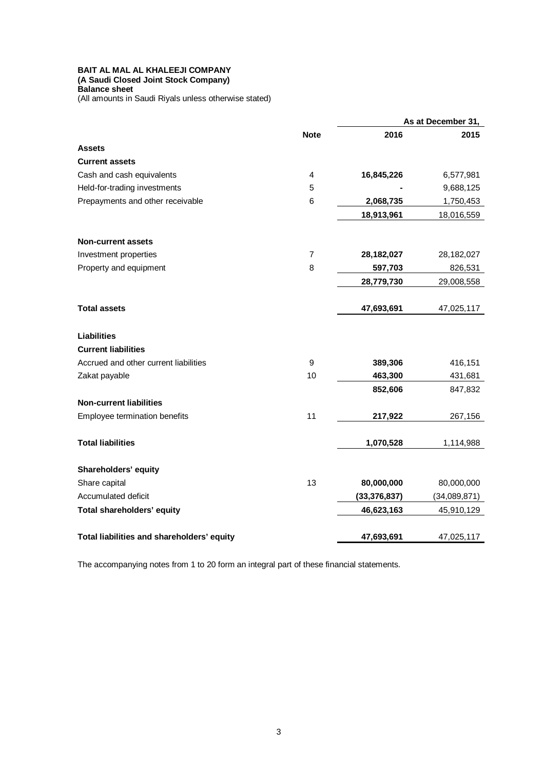### **BAIT AL MAL AL KHALEEJI COMPANY (A Saudi Closed Joint Stock Company) Balance sheet**

(All amounts in Saudi Riyals unless otherwise stated)

|                                            |                  | As at December 31, |              |
|--------------------------------------------|------------------|--------------------|--------------|
|                                            | <b>Note</b>      | 2016               | 2015         |
| <b>Assets</b>                              |                  |                    |              |
| <b>Current assets</b>                      |                  |                    |              |
| Cash and cash equivalents                  | 4                | 16,845,226         | 6,577,981    |
| Held-for-trading investments               | 5                |                    | 9,688,125    |
| Prepayments and other receivable           | $\,6$            | 2,068,735          | 1,750,453    |
|                                            |                  | 18,913,961         | 18,016,559   |
| <b>Non-current assets</b>                  |                  |                    |              |
| Investment properties                      | $\overline{7}$   | 28,182,027         | 28,182,027   |
| Property and equipment                     | 8                | 597,703            | 826,531      |
|                                            |                  | 28,779,730         | 29,008,558   |
| <b>Total assets</b>                        |                  | 47,693,691         | 47,025,117   |
| <b>Liabilities</b>                         |                  |                    |              |
| <b>Current liabilities</b>                 |                  |                    |              |
| Accrued and other current liabilities      | $\boldsymbol{9}$ | 389,306            | 416,151      |
| Zakat payable                              | 10               | 463,300            | 431,681      |
|                                            |                  | 852,606            | 847,832      |
| <b>Non-current liabilities</b>             |                  |                    |              |
| Employee termination benefits              | 11               | 217,922            | 267,156      |
| <b>Total liabilities</b>                   |                  | 1,070,528          | 1,114,988    |
| Shareholders' equity                       |                  |                    |              |
| Share capital                              | 13               | 80,000,000         | 80,000,000   |
| Accumulated deficit                        |                  | (33, 376, 837)     | (34,089,871) |
| Total shareholders' equity                 |                  | 46,623,163         | 45,910,129   |
| Total liabilities and shareholders' equity |                  | 47,693,691         | 47,025,117   |

The accompanying notes from 1 to 20 form an integral part of these financial statements.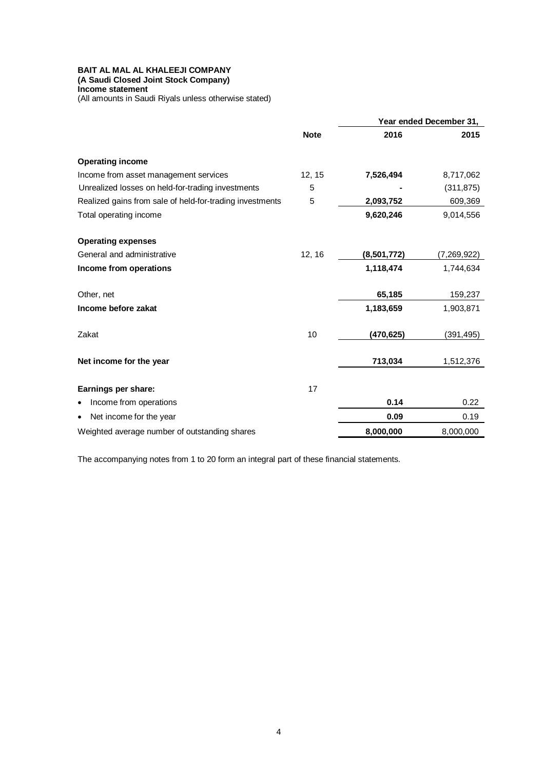**(A Saudi Closed Joint Stock Company) Income statement**

(All amounts in Saudi Riyals unless otherwise stated)

|                                                          |             |             |             | Year ended December 31, |
|----------------------------------------------------------|-------------|-------------|-------------|-------------------------|
|                                                          | <b>Note</b> | 2016        | 2015        |                         |
| <b>Operating income</b>                                  |             |             |             |                         |
| Income from asset management services                    | 12, 15      | 7,526,494   | 8,717,062   |                         |
| Unrealized losses on held-for-trading investments        | 5           |             | (311, 875)  |                         |
| Realized gains from sale of held-for-trading investments | 5           | 2,093,752   | 609,369     |                         |
| Total operating income                                   |             | 9,620,246   | 9,014,556   |                         |
| <b>Operating expenses</b>                                |             |             |             |                         |
| General and administrative                               | 12, 16      | (8,501,772) | (7,269,922) |                         |
| Income from operations                                   |             | 1,118,474   | 1,744,634   |                         |
| Other, net                                               |             | 65,185      | 159,237     |                         |
| Income before zakat                                      |             | 1,183,659   | 1,903,871   |                         |
| Zakat                                                    | 10          | (470,625)   | (391, 495)  |                         |
| Net income for the year                                  |             | 713,034     | 1,512,376   |                         |
| Earnings per share:                                      | 17          |             |             |                         |
| Income from operations<br>٠                              |             | 0.14        | 0.22        |                         |
| Net income for the year<br>٠                             |             | 0.09        | 0.19        |                         |
| Weighted average number of outstanding shares            |             | 8,000,000   | 8,000,000   |                         |

The accompanying notes from 1 to 20 form an integral part of these financial statements.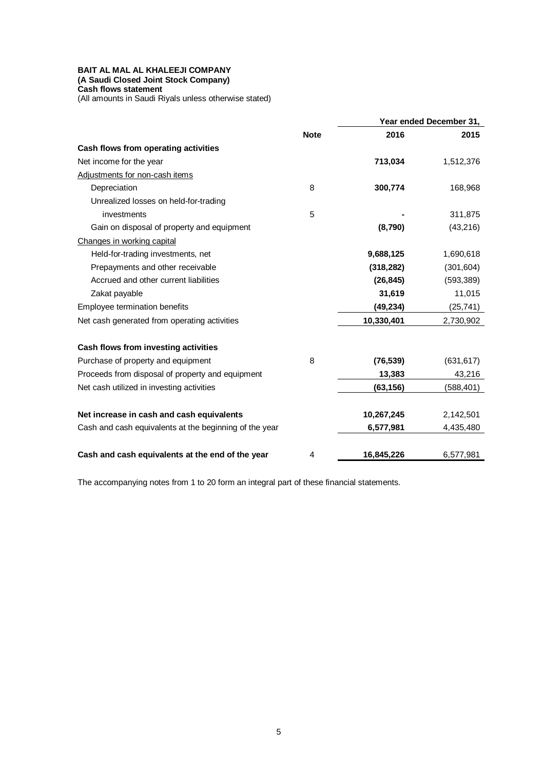### **BAIT AL MAL AL KHALEEJI COMPANY (A Saudi Closed Joint Stock Company) Cash flows statement**

(All amounts in Saudi Riyals unless otherwise stated)

|                                                        |             |            | Year ended December 31, |
|--------------------------------------------------------|-------------|------------|-------------------------|
|                                                        | <b>Note</b> | 2016       | 2015                    |
| Cash flows from operating activities                   |             |            |                         |
| Net income for the year                                |             | 713,034    | 1,512,376               |
| Adjustments for non-cash items                         |             |            |                         |
| Depreciation                                           | 8           | 300,774    | 168,968                 |
| Unrealized losses on held-for-trading                  |             |            |                         |
| investments                                            | 5           |            | 311,875                 |
| Gain on disposal of property and equipment             |             | (8,790)    | (43, 216)               |
| Changes in working capital                             |             |            |                         |
| Held-for-trading investments, net                      |             | 9,688,125  | 1,690,618               |
| Prepayments and other receivable                       |             | (318, 282) | (301, 604)              |
| Accrued and other current liabilities                  |             | (26, 845)  | (593, 389)              |
| Zakat payable                                          |             | 31,619     | 11,015                  |
| Employee termination benefits                          |             | (49, 234)  | (25, 741)               |
| Net cash generated from operating activities           |             | 10,330,401 | 2,730,902               |
| Cash flows from investing activities                   |             |            |                         |
| Purchase of property and equipment                     | 8           | (76, 539)  | (631, 617)              |
| Proceeds from disposal of property and equipment       |             | 13,383     | 43,216                  |
| Net cash utilized in investing activities              |             | (63, 156)  | (588,401)               |
| Net increase in cash and cash equivalents              |             | 10,267,245 | 2,142,501               |
| Cash and cash equivalents at the beginning of the year |             | 6,577,981  | 4,435,480               |
| Cash and cash equivalents at the end of the year       | 4           | 16,845,226 | 6,577,981               |

The accompanying notes from 1 to 20 form an integral part of these financial statements.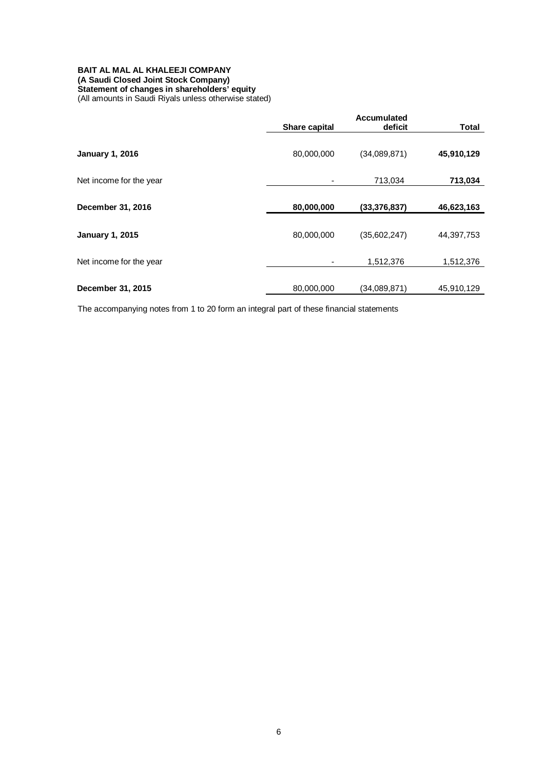### **BAIT AL MAL AL KHALEEJI COMPANY (A Saudi Closed Joint Stock Company) Statement of changes in shareholders' equity** (All amounts in Saudi Riyals unless otherwise stated)

|                         | <b>Accumulated</b> |                |              |
|-------------------------|--------------------|----------------|--------------|
|                         | Share capital      | deficit        | <b>Total</b> |
| <b>January 1, 2016</b>  | 80,000,000         | (34,089,871)   | 45,910,129   |
| Net income for the year |                    | 713,034        | 713,034      |
| December 31, 2016       | 80,000,000         | (33, 376, 837) | 46,623,163   |
| <b>January 1, 2015</b>  | 80,000,000         | (35,602,247)   | 44,397,753   |
| Net income for the year |                    | 1,512,376      | 1,512,376    |
| December 31, 2015       | 80,000,000         | (34,089,871)   | 45,910,129   |

The accompanying notes from 1 to 20 form an integral part of these financial statements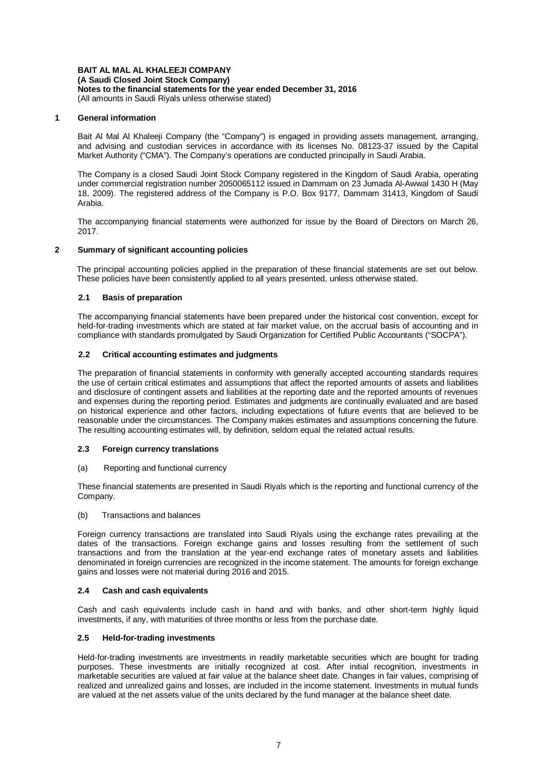### **1 General information**

Bait Al Mal Al Khaleeji Company (the "Company") is engaged in providing assets management, arranging, and advising and custodian services in accordance with its licenses No. 08123-37 issued by the Capital Market Authority ("CMA"). The Company's operations are conducted principally in Saudi Arabia.

The Company is a closed Saudi Joint Stock Company registered in the Kingdom of Saudi Arabia, operating under commercial registration number 2050065112 issued in Dammam on 23 Jumada Al-Awwal 1430 H (May 18, 2009). The registered address of the Company is P.O. Box 9177, Dammam 31413, Kingdom of Saudi Arabia.

The accompanying financial statements were authorized for issue by the Board of Directors on March 26, 2017.

# **2 Summary of significant accounting policies**

The principal accounting policies applied in the preparation of these financial statements are set out below. These policies have been consistently applied to all years presented, unless otherwise stated.

# **2.1 Basis of preparation**

The accompanying financial statements have been prepared under the historical cost convention, except for held-for-trading investments which are stated at fair market value, on the accrual basis of accounting and in compliance with standards promulgated by Saudi Organization for Certified Public Accountants ("SOCPA").

# **2.2 Critical accounting estimates and judgments**

The preparation of financial statements in conformity with generally accepted accounting standards requires the use of certain critical estimates and assumptions that affect the reported amounts of assets and liabilities and disclosure of contingent assets and liabilities at the reporting date and the reported amounts of revenues and expenses during the reporting period. Estimates and judgments are continually evaluated and are based on historical experience and other factors, including expectations of future events that are believed to be reasonable under the circumstances. The Company makes estimates and assumptions concerning the future. The resulting accounting estimates will, by definition, seldom equal the related actual results.

### **2.3 Foreign currency translations**

### (a) Reporting and functional currency

These financial statements are presented in Saudi Riyals which is the reporting and functional currency of the Company.

### (b) Transactions and balances

Foreign currency transactions are translated into Saudi Riyals using the exchange rates prevailing at the dates of the transactions. Foreign exchange gains and losses resulting from the settlement of such transactions and from the translation at the year-end exchange rates of monetary assets and liabilities denominated in foreign currencies are recognized in the income statement. The amounts for foreign exchange gains and losses were not material during 2016 and 2015.

### **2.4 Cash and cash equivalents**

Cash and cash equivalents include cash in hand and with banks, and other short-term highly liquid investments, if any, with maturities of three months or less from the purchase date.

### **2.5 Held-for-trading investments**

Held-for-trading investments are investments in readily marketable securities which are bought for trading purposes. These investments are initially recognized at cost. After initial recognition, investments in marketable securities are valued at fair value at the balance sheet date. Changes in fair values, comprising of realized and unrealized gains and losses, are included in the income statement. Investments in mutual funds are valued at the net assets value of the units declared by the fund manager at the balance sheet date.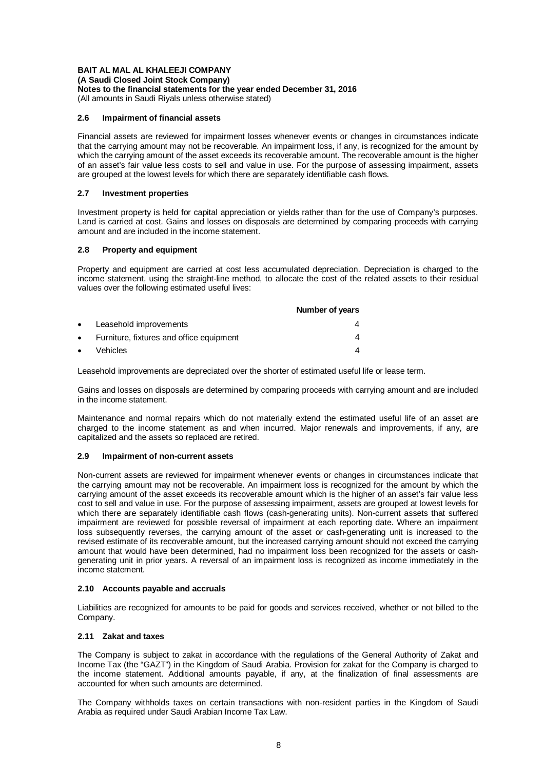**(A Saudi Closed Joint Stock Company)**

**Notes to the financial statements for the year ended December 31, 2016**

(All amounts in Saudi Riyals unless otherwise stated)

### **2.6 Impairment of financial assets**

Financial assets are reviewed for impairment losses whenever events or changes in circumstances indicate that the carrying amount may not be recoverable. An impairment loss, if any, is recognized for the amount by which the carrying amount of the asset exceeds its recoverable amount. The recoverable amount is the higher of an asset's fair value less costs to sell and value in use. For the purpose of assessing impairment, assets are grouped at the lowest levels for which there are separately identifiable cash flows.

# **2.7 Investment properties**

Investment property is held for capital appreciation or yields rather than for the use of Company's purposes. Land is carried at cost. Gains and losses on disposals are determined by comparing proceeds with carrying amount and are included in the income statement.

# **2.8 Property and equipment**

Property and equipment are carried at cost less accumulated depreciation. Depreciation is charged to the income statement, using the straight-line method, to allocate the cost of the related assets to their residual values over the following estimated useful lives:

|           |                                          | <b>Number of years</b> |
|-----------|------------------------------------------|------------------------|
| $\bullet$ | Leasehold improvements                   |                        |
| $\bullet$ | Furniture, fixtures and office equipment |                        |
| $\bullet$ | Vehicles                                 |                        |

Leasehold improvements are depreciated over the shorter of estimated useful life or lease term.

Gains and losses on disposals are determined by comparing proceeds with carrying amount and are included in the income statement.

Maintenance and normal repairs which do not materially extend the estimated useful life of an asset are charged to the income statement as and when incurred. Major renewals and improvements, if any, are capitalized and the assets so replaced are retired.

# **2.9 Impairment of non-current assets**

Non-current assets are reviewed for impairment whenever events or changes in circumstances indicate that the carrying amount may not be recoverable. An impairment loss is recognized for the amount by which the carrying amount of the asset exceeds its recoverable amount which is the higher of an asset's fair value less cost to sell and value in use. For the purpose of assessing impairment, assets are grouped at lowest levels for which there are separately identifiable cash flows (cash-generating units). Non-current assets that suffered impairment are reviewed for possible reversal of impairment at each reporting date. Where an impairment loss subsequently reverses, the carrying amount of the asset or cash-generating unit is increased to the revised estimate of its recoverable amount, but the increased carrying amount should not exceed the carrying amount that would have been determined, had no impairment loss been recognized for the assets or cashgenerating unit in prior years. A reversal of an impairment loss is recognized as income immediately in the income statement.

# **2.10 Accounts payable and accruals**

Liabilities are recognized for amounts to be paid for goods and services received, whether or not billed to the Company.

# **2.11 Zakat and taxes**

The Company is subject to zakat in accordance with the regulations of the General Authority of Zakat and Income Tax (the "GAZT") in the Kingdom of Saudi Arabia. Provision for zakat for the Company is charged to the income statement. Additional amounts payable, if any, at the finalization of final assessments are accounted for when such amounts are determined.

The Company withholds taxes on certain transactions with non-resident parties in the Kingdom of Saudi Arabia as required under Saudi Arabian Income Tax Law.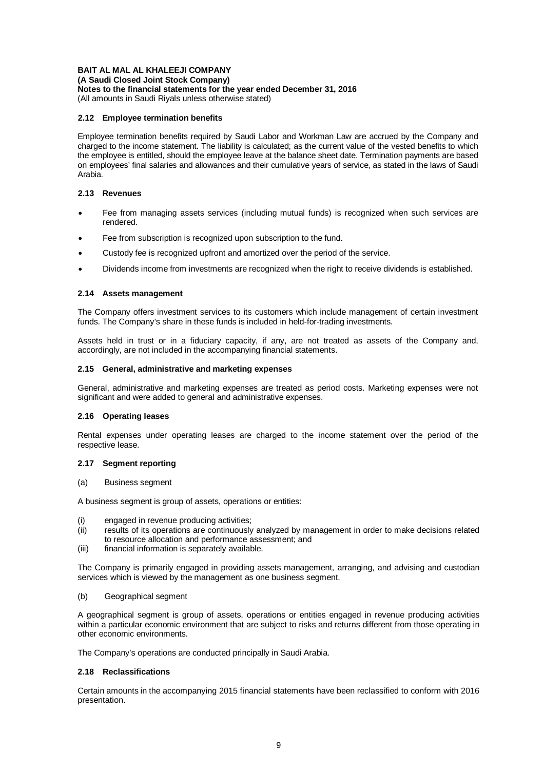**(A Saudi Closed Joint Stock Company)**

**Notes to the financial statements for the year ended December 31, 2016**

(All amounts in Saudi Riyals unless otherwise stated)

### **2.12 Employee termination benefits**

Employee termination benefits required by Saudi Labor and Workman Law are accrued by the Company and charged to the income statement. The liability is calculated; as the current value of the vested benefits to which the employee is entitled, should the employee leave at the balance sheet date. Termination payments are based on employees' final salaries and allowances and their cumulative years of service, as stated in the laws of Saudi Arabia.

### **2.13 Revenues**

- Fee from managing assets services (including mutual funds) is recognized when such services are rendered.
- Fee from subscription is recognized upon subscription to the fund.
- Custody fee is recognized upfront and amortized over the period of the service.
- Dividends income from investments are recognized when the right to receive dividends is established.

# **2.14 Assets management**

The Company offers investment services to its customers which include management of certain investment funds. The Company's share in these funds is included in held-for-trading investments.

Assets held in trust or in a fiduciary capacity, if any, are not treated as assets of the Company and, accordingly, are not included in the accompanying financial statements.

### **2.15 General, administrative and marketing expenses**

General, administrative and marketing expenses are treated as period costs. Marketing expenses were not significant and were added to general and administrative expenses.

# **2.16 Operating leases**

Rental expenses under operating leases are charged to the income statement over the period of the respective lease.

### **2.17 Segment reporting**

(a) Business segment

A business segment is group of assets, operations or entities:

- (i) engaged in revenue producing activities;
- (ii) results of its operations are continuously analyzed by management in order to make decisions related to resource allocation and performance assessment; and
- (iii) financial information is separately available.

The Company is primarily engaged in providing assets management, arranging, and advising and custodian services which is viewed by the management as one business segment.

### (b) Geographical segment

A geographical segment is group of assets, operations or entities engaged in revenue producing activities within a particular economic environment that are subject to risks and returns different from those operating in other economic environments.

The Company's operations are conducted principally in Saudi Arabia.

### **2.18 Reclassifications**

Certain amounts in the accompanying 2015 financial statements have been reclassified to conform with 2016 presentation.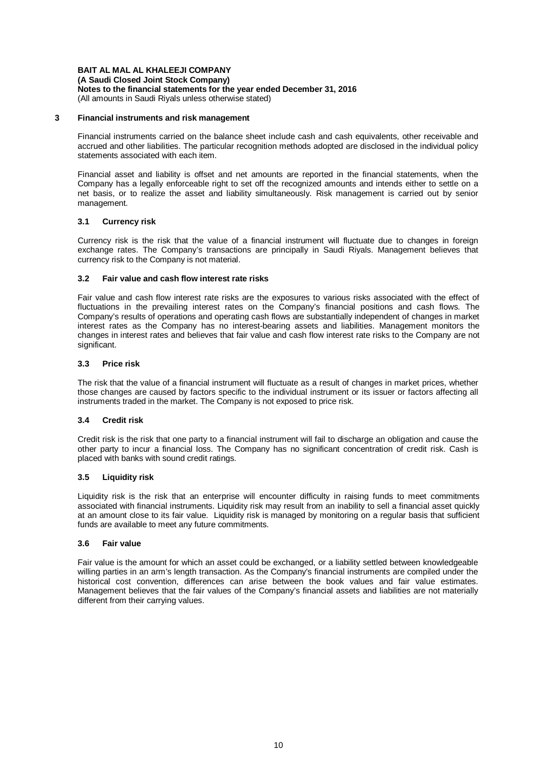**(A Saudi Closed Joint Stock Company)**

**Notes to the financial statements for the year ended December 31, 2016** (All amounts in Saudi Riyals unless otherwise stated)

#### **3 Financial instruments and risk management**

Financial instruments carried on the balance sheet include cash and cash equivalents, other receivable and accrued and other liabilities. The particular recognition methods adopted are disclosed in the individual policy statements associated with each item.

Financial asset and liability is offset and net amounts are reported in the financial statements, when the Company has a legally enforceable right to set off the recognized amounts and intends either to settle on a net basis, or to realize the asset and liability simultaneously. Risk management is carried out by senior management.

### **3.1 Currency risk**

Currency risk is the risk that the value of a financial instrument will fluctuate due to changes in foreign exchange rates. The Company's transactions are principally in Saudi Riyals. Management believes that currency risk to the Company is not material.

# **3.2 Fair value and cash flow interest rate risks**

Fair value and cash flow interest rate risks are the exposures to various risks associated with the effect of fluctuations in the prevailing interest rates on the Company's financial positions and cash flows. The Company's results of operations and operating cash flows are substantially independent of changes in market interest rates as the Company has no interest-bearing assets and liabilities. Management monitors the changes in interest rates and believes that fair value and cash flow interest rate risks to the Company are not significant.

# **3.3 Price risk**

The risk that the value of a financial instrument will fluctuate as a result of changes in market prices, whether those changes are caused by factors specific to the individual instrument or its issuer or factors affecting all instruments traded in the market. The Company is not exposed to price risk.

### **3.4 Credit risk**

Credit risk is the risk that one party to a financial instrument will fail to discharge an obligation and cause the other party to incur a financial loss. The Company has no significant concentration of credit risk. Cash is placed with banks with sound credit ratings.

### **3.5 Liquidity risk**

Liquidity risk is the risk that an enterprise will encounter difficulty in raising funds to meet commitments associated with financial instruments. Liquidity risk may result from an inability to sell a financial asset quickly at an amount close to its fair value. Liquidity risk is managed by monitoring on a regular basis that sufficient funds are available to meet any future commitments.

### **3.6 Fair value**

Fair value is the amount for which an asset could be exchanged, or a liability settled between knowledgeable willing parties in an arm's length transaction. As the Company's financial instruments are compiled under the historical cost convention, differences can arise between the book values and fair value estimates. Management believes that the fair values of the Company's financial assets and liabilities are not materially different from their carrying values.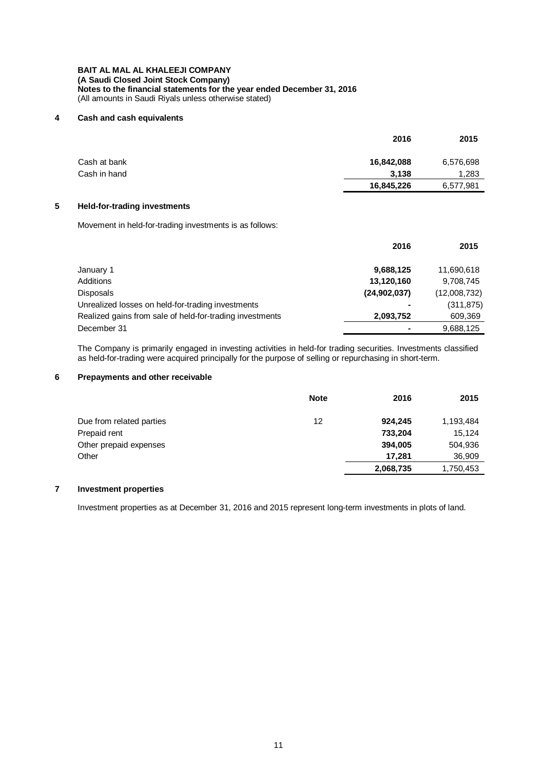# **4 Cash and cash equivalents**

|              | 2016       | 2015      |
|--------------|------------|-----------|
| Cash at bank | 16,842,088 | 6,576,698 |
| Cash in hand | 3.138      | 1,283     |
|              | 16,845,226 | 6,577,981 |
|              |            |           |

# **5 Held-for-trading investments**

Movement in held-for-trading investments is as follows:

|                                                          | 2016         | 2015         |
|----------------------------------------------------------|--------------|--------------|
| January 1                                                | 9,688,125    | 11,690,618   |
| Additions                                                | 13,120,160   | 9,708,745    |
| Disposals                                                | (24,902,037) | (12,008,732) |
| Unrealized losses on held-for-trading investments        |              | (311, 875)   |
| Realized gains from sale of held-for-trading investments | 2,093,752    | 609,369      |
| December 31                                              |              | 9,688,125    |

The Company is primarily engaged in investing activities in held-for trading securities. Investments classified as held-for-trading were acquired principally for the purpose of selling or repurchasing in short-term.

# **6 Prepayments and other receivable**

|                          | <b>Note</b> | 2016      | 2015      |
|--------------------------|-------------|-----------|-----------|
| Due from related parties | 12          | 924,245   | 1,193,484 |
| Prepaid rent             |             | 733,204   | 15.124    |
| Other prepaid expenses   |             | 394,005   | 504,936   |
| Other                    |             | 17.281    | 36,909    |
|                          |             | 2,068,735 | 1,750,453 |

# **7 Investment properties**

Investment properties as at December 31, 2016 and 2015 represent long-term investments in plots of land.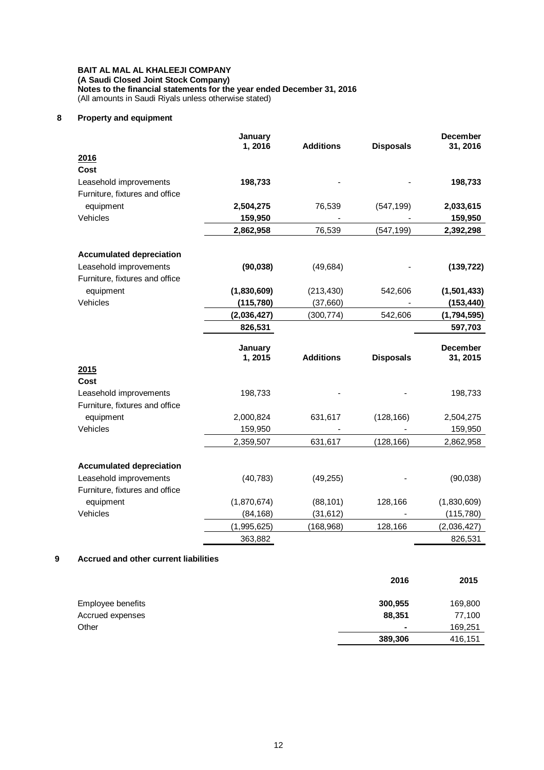# **8 Property and equipment**

|                                 | January<br>1,2016 | <b>Additions</b> | <b>Disposals</b> | December<br>31, 2016        |
|---------------------------------|-------------------|------------------|------------------|-----------------------------|
| 2016                            |                   |                  |                  |                             |
| Cost                            |                   |                  |                  |                             |
| Leasehold improvements          | 198,733           |                  |                  | 198,733                     |
| Furniture, fixtures and office  |                   |                  |                  |                             |
| equipment                       | 2,504,275         | 76,539           | (547, 199)       | 2,033,615                   |
| Vehicles                        | 159,950           |                  |                  | 159,950                     |
|                                 | 2,862,958         | 76,539           | (547, 199)       | 2,392,298                   |
| <b>Accumulated depreciation</b> |                   |                  |                  |                             |
| Leasehold improvements          | (90, 038)         | (49, 684)        |                  | (139, 722)                  |
| Furniture, fixtures and office  |                   |                  |                  |                             |
| equipment                       | (1,830,609)       | (213, 430)       | 542,606          | (1,501,433)                 |
| Vehicles                        | (115, 780)        | (37,660)         |                  | (153, 440)                  |
|                                 | (2,036,427)       | (300,774)        | 542,606          | (1,794,595)                 |
|                                 | 826,531           |                  |                  | 597,703                     |
|                                 | January<br>1,2015 | <b>Additions</b> | <b>Disposals</b> | <b>December</b><br>31, 2015 |
| 2015                            |                   |                  |                  |                             |
| Cost                            |                   |                  |                  |                             |
|                                 |                   |                  |                  |                             |
| Leasehold improvements          | 198,733           |                  |                  | 198,733                     |
| Furniture, fixtures and office  |                   |                  |                  |                             |
| equipment                       | 2,000,824         | 631,617          | (128, 166)       | 2,504,275                   |
| Vehicles                        | 159,950           |                  |                  | 159,950                     |
|                                 | 2,359,507         | 631,617          | (128, 166)       | 2,862,958                   |
| <b>Accumulated depreciation</b> |                   |                  |                  |                             |
| Leasehold improvements          | (40, 783)         | (49, 255)        |                  | (90,038)                    |
| Furniture, fixtures and office  |                   |                  |                  |                             |
| equipment                       | (1,870,674)       | (88, 101)        | 128,166          | (1,830,609)                 |
| Vehicles                        | (84, 168)         | (31, 612)        |                  |                             |
|                                 | (1,995,625)       | (168, 968)       | 128,166          | (115, 780)<br>(2,036,427)   |

# **9 Accrued and other current liabilities**

|                   | 2016           | 2015    |
|-------------------|----------------|---------|
| Employee benefits | 300,955        | 169,800 |
| Accrued expenses  | 88,351         | 77,100  |
| Other             | $\blacksquare$ | 169,251 |
|                   | 389,306        | 416,151 |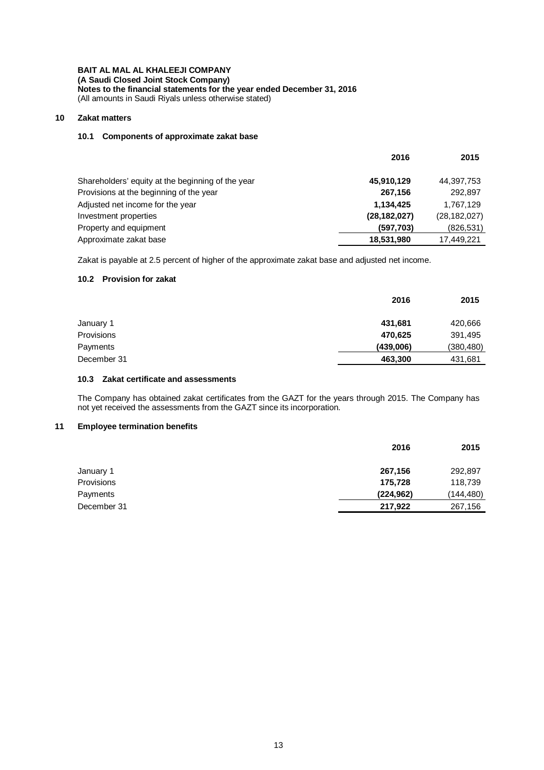**(A Saudi Closed Joint Stock Company)**

**Notes to the financial statements for the year ended December 31, 2016** (All amounts in Saudi Riyals unless otherwise stated)

# **10 Zakat matters**

# **10.1 Components of approximate zakat base**

|                                                   | 2016           | 2015           |
|---------------------------------------------------|----------------|----------------|
| Shareholders' equity at the beginning of the year | 45,910,129     | 44,397,753     |
| Provisions at the beginning of the year           | 267,156        | 292,897        |
| Adjusted net income for the year                  | 1,134,425      | 1,767,129      |
| Investment properties                             | (28, 182, 027) | (28, 182, 027) |
| Property and equipment                            | (597,703)      | (826, 531)     |
| Approximate zakat base                            | 18,531,980     | 17,449,221     |

Zakat is payable at 2.5 percent of higher of the approximate zakat base and adjusted net income.

# **10.2 Provision for zakat**

|             | 2016      | 2015       |
|-------------|-----------|------------|
| January 1   | 431,681   | 420,666    |
| Provisions  | 470,625   | 391,495    |
| Payments    | (439,006) | (380, 480) |
| December 31 | 463,300   | 431,681    |

# **10.3 Zakat certificate and assessments**

The Company has obtained zakat certificates from the GAZT for the years through 2015. The Company has not yet received the assessments from the GAZT since its incorporation.

# **11 Employee termination benefits**

|             | 2016       | 2015      |
|-------------|------------|-----------|
| January 1   | 267,156    | 292,897   |
| Provisions  | 175,728    | 118,739   |
| Payments    | (224, 962) | (144,480) |
| December 31 | 217,922    | 267,156   |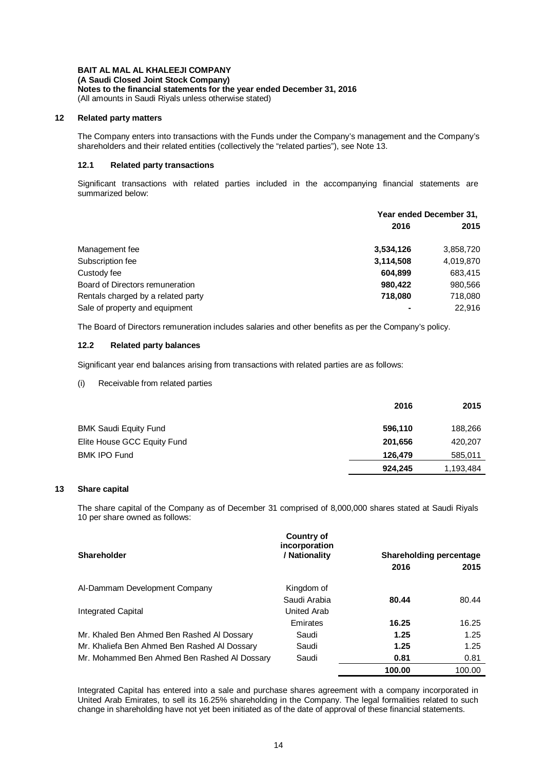**(A Saudi Closed Joint Stock Company)**

**Notes to the financial statements for the year ended December 31, 2016**

(All amounts in Saudi Riyals unless otherwise stated)

# **12 Related party matters**

The Company enters into transactions with the Funds under the Company's management and the Company's shareholders and their related entities (collectively the "related parties"), see Note 13.

# **12.1 Related party transactions**

Significant transactions with related parties included in the accompanying financial statements are summarized below:

|                                    | Year ended December 31, |           |
|------------------------------------|-------------------------|-----------|
|                                    | 2016                    | 2015      |
| Management fee                     | 3,534,126               | 3,858,720 |
| Subscription fee                   | 3,114,508               | 4,019,870 |
| Custody fee                        | 604,899                 | 683,415   |
| Board of Directors remuneration    | 980,422                 | 980,566   |
| Rentals charged by a related party | 718.080                 | 718,080   |
| Sale of property and equipment     | ٠                       | 22.916    |

The Board of Directors remuneration includes salaries and other benefits as per the Company's policy.

# **12.2 Related party balances**

Significant year end balances arising from transactions with related parties are as follows:

# (i) Receivable from related parties

|                             | 2016    | 2015      |
|-----------------------------|---------|-----------|
| BMK Saudi Equity Fund       | 596,110 | 188,266   |
| Elite House GCC Equity Fund | 201.656 | 420,207   |
| <b>BMK IPO Fund</b>         | 126,479 | 585,011   |
|                             | 924.245 | 1,193,484 |

# **13 Share capital**

The share capital of the Company as of December 31 comprised of 8,000,000 shares stated at Saudi Riyals 10 per share owned as follows:

| <b>Shareholder</b>                           | <b>Country of</b><br>incorporation<br>/ Nationality | Shareholding percentage |        |
|----------------------------------------------|-----------------------------------------------------|-------------------------|--------|
|                                              |                                                     | 2016                    | 2015   |
| Al-Dammam Development Company                | Kingdom of                                          |                         |        |
|                                              | Saudi Arabia                                        | 80.44                   | 80.44  |
| Integrated Capital                           | <b>United Arab</b>                                  |                         |        |
|                                              | Emirates                                            | 16.25                   | 16.25  |
| Mr. Khaled Ben Ahmed Ben Rashed Al Dossary   | Saudi                                               | 1.25                    | 1.25   |
| Mr. Khaliefa Ben Ahmed Ben Rashed Al Dossary | Saudi                                               | 1.25                    | 1.25   |
| Mr. Mohammed Ben Ahmed Ben Rashed Al Dossary | Saudi                                               | 0.81                    | 0.81   |
|                                              |                                                     | 100.00                  | 100.00 |

Integrated Capital has entered into a sale and purchase shares agreement with a company incorporated in United Arab Emirates, to sell its 16.25% shareholding in the Company. The legal formalities related to such change in shareholding have not yet been initiated as of the date of approval of these financial statements.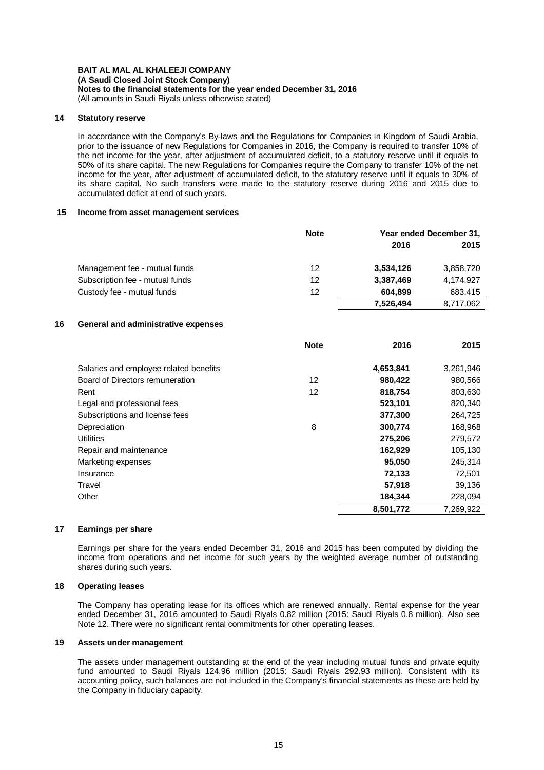### **14 Statutory reserve**

In accordance with the Company's By-laws and the Regulations for Companies in Kingdom of Saudi Arabia, prior to the issuance of new Regulations for Companies in 2016, the Company is required to transfer 10% of the net income for the year, after adjustment of accumulated deficit, to a statutory reserve until it equals to 50% of its share capital. The new Regulations for Companies require the Company to transfer 10% of the net income for the year, after adjustment of accumulated deficit, to the statutory reserve until it equals to 30% of its share capital. No such transfers were made to the statutory reserve during 2016 and 2015 due to accumulated deficit at end of such years.

#### **15 Income from asset management services**

|                                 | <b>Note</b> | Year ended December 31, |           |
|---------------------------------|-------------|-------------------------|-----------|
|                                 |             | 2016                    | 2015      |
| Management fee - mutual funds   | 12          | 3,534,126               | 3,858,720 |
| Subscription fee - mutual funds | 12          | 3,387,469               | 4.174.927 |
| Custody fee - mutual funds      | 12          | 604.899                 | 683,415   |
|                                 |             | 7,526,494               | 8,717,062 |

### **16 General and administrative expenses**

|                                        | <b>Note</b> | 2016      | 2015      |
|----------------------------------------|-------------|-----------|-----------|
| Salaries and employee related benefits |             | 4,653,841 | 3,261,946 |
| Board of Directors remuneration        | 12          | 980,422   | 980,566   |
| Rent                                   | 12          | 818,754   | 803,630   |
| Legal and professional fees            |             | 523,101   | 820,340   |
| Subscriptions and license fees         |             | 377,300   | 264,725   |
| Depreciation                           | 8           | 300,774   | 168,968   |
| <b>Utilities</b>                       |             | 275,206   | 279,572   |
| Repair and maintenance                 |             | 162,929   | 105,130   |
| Marketing expenses                     |             | 95,050    | 245,314   |
| Insurance                              |             | 72,133    | 72,501    |
| Travel                                 |             | 57,918    | 39,136    |
| Other                                  |             | 184,344   | 228,094   |
|                                        |             | 8,501,772 | 7.269.922 |

#### **17 Earnings per share**

Earnings per share for the years ended December 31, 2016 and 2015 has been computed by dividing the income from operations and net income for such years by the weighted average number of outstanding shares during such years.

### **18 Operating leases**

The Company has operating lease for its offices which are renewed annually. Rental expense for the year ended December 31, 2016 amounted to Saudi Riyals 0.82 million (2015: Saudi Riyals 0.8 million). Also see Note 12. There were no significant rental commitments for other operating leases.

#### **19 Assets under management**

The assets under management outstanding at the end of the year including mutual funds and private equity fund amounted to Saudi Riyals 124.96 million (2015: Saudi Riyals 292.93 million). Consistent with its accounting policy, such balances are not included in the Company's financial statements as these are held by the Company in fiduciary capacity.